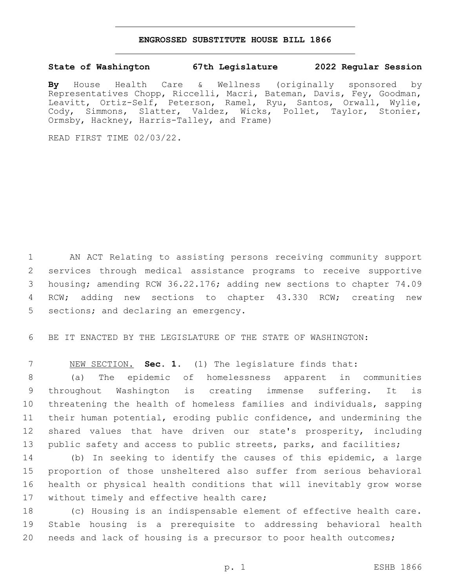## **ENGROSSED SUBSTITUTE HOUSE BILL 1866**

## **State of Washington 67th Legislature 2022 Regular Session**

**By** House Health Care & Wellness (originally sponsored by Representatives Chopp, Riccelli, Macri, Bateman, Davis, Fey, Goodman, Leavitt, Ortiz-Self, Peterson, Ramel, Ryu, Santos, Orwall, Wylie, Cody, Simmons, Slatter, Valdez, Wicks, Pollet, Taylor, Stonier, Ormsby, Hackney, Harris-Talley, and Frame)

READ FIRST TIME 02/03/22.

 AN ACT Relating to assisting persons receiving community support services through medical assistance programs to receive supportive housing; amending RCW 36.22.176; adding new sections to chapter 74.09 RCW; adding new sections to chapter 43.330 RCW; creating new 5 sections; and declaring an emergency.

BE IT ENACTED BY THE LEGISLATURE OF THE STATE OF WASHINGTON:

NEW SECTION. **Sec. 1.** (1) The legislature finds that:

 (a) The epidemic of homelessness apparent in communities throughout Washington is creating immense suffering. It is threatening the health of homeless families and individuals, sapping their human potential, eroding public confidence, and undermining the shared values that have driven our state's prosperity, including public safety and access to public streets, parks, and facilities;

 (b) In seeking to identify the causes of this epidemic, a large proportion of those unsheltered also suffer from serious behavioral health or physical health conditions that will inevitably grow worse 17 without timely and effective health care;

 (c) Housing is an indispensable element of effective health care. Stable housing is a prerequisite to addressing behavioral health needs and lack of housing is a precursor to poor health outcomes;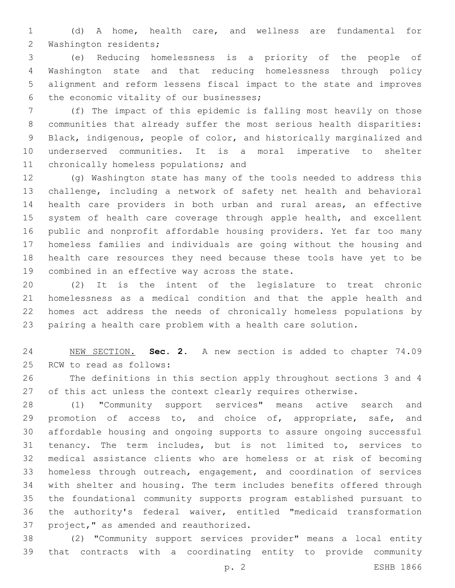(d) A home, health care, and wellness are fundamental for 2 Washington residents;

 (e) Reducing homelessness is a priority of the people of Washington state and that reducing homelessness through policy alignment and reform lessens fiscal impact to the state and improves 6 the economic vitality of our businesses;

 (f) The impact of this epidemic is falling most heavily on those communities that already suffer the most serious health disparities: Black, indigenous, people of color, and historically marginalized and underserved communities. It is a moral imperative to shelter 11 chronically homeless populations; and

 (g) Washington state has many of the tools needed to address this challenge, including a network of safety net health and behavioral health care providers in both urban and rural areas, an effective 15 system of health care coverage through apple health, and excellent public and nonprofit affordable housing providers. Yet far too many homeless families and individuals are going without the housing and health care resources they need because these tools have yet to be 19 combined in an effective way across the state.

 (2) It is the intent of the legislature to treat chronic homelessness as a medical condition and that the apple health and homes act address the needs of chronically homeless populations by pairing a health care problem with a health care solution.

 NEW SECTION. **Sec. 2.** A new section is added to chapter 74.09 25 RCW to read as follows:

 The definitions in this section apply throughout sections 3 and 4 27 of this act unless the context clearly requires otherwise.

 (1) "Community support services" means active search and 29 promotion of access to, and choice of, appropriate, safe, and affordable housing and ongoing supports to assure ongoing successful tenancy. The term includes, but is not limited to, services to medical assistance clients who are homeless or at risk of becoming homeless through outreach, engagement, and coordination of services with shelter and housing. The term includes benefits offered through the foundational community supports program established pursuant to the authority's federal waiver, entitled "medicaid transformation 37 project," as amended and reauthorized.

 (2) "Community support services provider" means a local entity that contracts with a coordinating entity to provide community

p. 2 ESHB 1866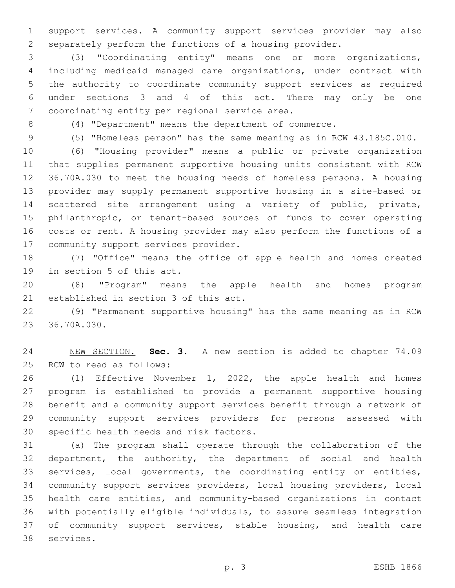support services. A community support services provider may also separately perform the functions of a housing provider.

 (3) "Coordinating entity" means one or more organizations, including medicaid managed care organizations, under contract with the authority to coordinate community support services as required under sections 3 and 4 of this act. There may only be one 7 coordinating entity per regional service area.

(4) "Department" means the department of commerce.

(5) "Homeless person" has the same meaning as in RCW 43.185C.010.

 (6) "Housing provider" means a public or private organization that supplies permanent supportive housing units consistent with RCW 36.70A.030 to meet the housing needs of homeless persons. A housing provider may supply permanent supportive housing in a site-based or scattered site arrangement using a variety of public, private, philanthropic, or tenant-based sources of funds to cover operating costs or rent. A housing provider may also perform the functions of a 17 community support services provider.

 (7) "Office" means the office of apple health and homes created 19 in section 5 of this act.

 (8) "Program" means the apple health and homes program 21 established in section 3 of this act.

 (9) "Permanent supportive housing" has the same meaning as in RCW 23 36.70A.030.

 NEW SECTION. **Sec. 3.** A new section is added to chapter 74.09 25 RCW to read as follows:

 (1) Effective November 1, 2022, the apple health and homes program is established to provide a permanent supportive housing benefit and a community support services benefit through a network of community support services providers for persons assessed with 30 specific health needs and risk factors.

 (a) The program shall operate through the collaboration of the department, the authority, the department of social and health services, local governments, the coordinating entity or entities, community support services providers, local housing providers, local health care entities, and community-based organizations in contact with potentially eligible individuals, to assure seamless integration of community support services, stable housing, and health care 38 services.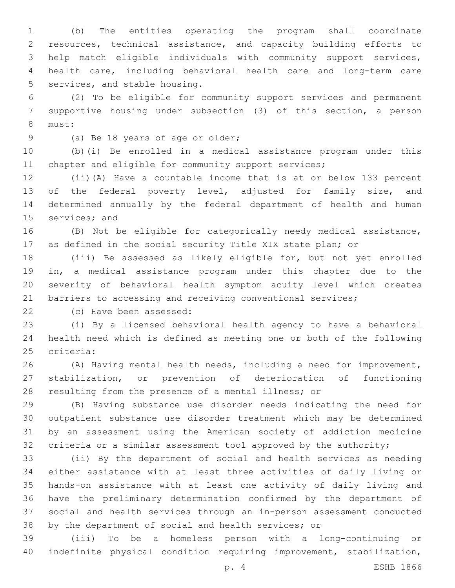(b) The entities operating the program shall coordinate resources, technical assistance, and capacity building efforts to help match eligible individuals with community support services, health care, including behavioral health care and long-term care 5 services, and stable housing.

 (2) To be eligible for community support services and permanent supportive housing under subsection (3) of this section, a person 8 must:

9 (a) Be 18 years of age or older;

 (b)(i) Be enrolled in a medical assistance program under this 11 chapter and eligible for community support services;

 (ii)(A) Have a countable income that is at or below 133 percent 13 of the federal poverty level, adjusted for family size, and determined annually by the federal department of health and human 15 services; and

 (B) Not be eligible for categorically needy medical assistance, as defined in the social security Title XIX state plan; or

 (iii) Be assessed as likely eligible for, but not yet enrolled in, a medical assistance program under this chapter due to the severity of behavioral health symptom acuity level which creates 21 barriers to accessing and receiving conventional services;

22 (c) Have been assessed:

 (i) By a licensed behavioral health agency to have a behavioral health need which is defined as meeting one or both of the following 25 criteria:

 (A) Having mental health needs, including a need for improvement, stabilization, or prevention of deterioration of functioning resulting from the presence of a mental illness; or

 (B) Having substance use disorder needs indicating the need for outpatient substance use disorder treatment which may be determined by an assessment using the American society of addiction medicine criteria or a similar assessment tool approved by the authority;

 (ii) By the department of social and health services as needing either assistance with at least three activities of daily living or hands-on assistance with at least one activity of daily living and have the preliminary determination confirmed by the department of social and health services through an in-person assessment conducted by the department of social and health services; or

 (iii) To be a homeless person with a long-continuing or indefinite physical condition requiring improvement, stabilization,

p. 4 ESHB 1866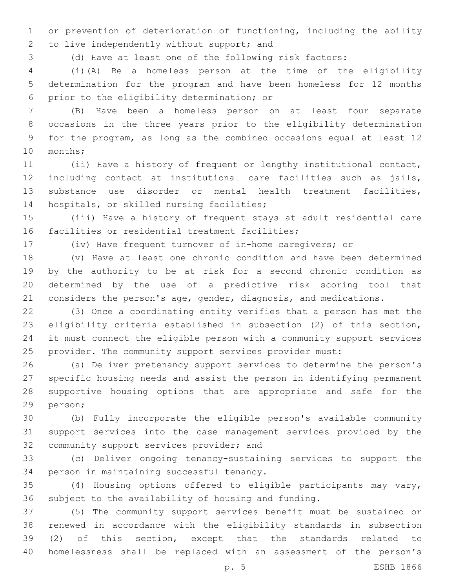or prevention of deterioration of functioning, including the ability 2 to live independently without support; and

(d) Have at least one of the following risk factors:

 (i)(A) Be a homeless person at the time of the eligibility determination for the program and have been homeless for 12 months 6 prior to the eligibility determination; or

 (B) Have been a homeless person on at least four separate occasions in the three years prior to the eligibility determination for the program, as long as the combined occasions equal at least 12 10 months;

 (ii) Have a history of frequent or lengthy institutional contact, including contact at institutional care facilities such as jails, substance use disorder or mental health treatment facilities, 14 hospitals, or skilled nursing facilities;

 (iii) Have a history of frequent stays at adult residential care 16 facilities or residential treatment facilities;

(iv) Have frequent turnover of in-home caregivers; or

 (v) Have at least one chronic condition and have been determined by the authority to be at risk for a second chronic condition as determined by the use of a predictive risk scoring tool that considers the person's age, gender, diagnosis, and medications.

 (3) Once a coordinating entity verifies that a person has met the eligibility criteria established in subsection (2) of this section, it must connect the eligible person with a community support services provider. The community support services provider must:

 (a) Deliver pretenancy support services to determine the person's specific housing needs and assist the person in identifying permanent supportive housing options that are appropriate and safe for the 29 person;

 (b) Fully incorporate the eligible person's available community support services into the case management services provided by the 32 community support services provider; and

 (c) Deliver ongoing tenancy-sustaining services to support the 34 person in maintaining successful tenancy.

 (4) Housing options offered to eligible participants may vary, subject to the availability of housing and funding.

 (5) The community support services benefit must be sustained or renewed in accordance with the eligibility standards in subsection (2) of this section, except that the standards related to homelessness shall be replaced with an assessment of the person's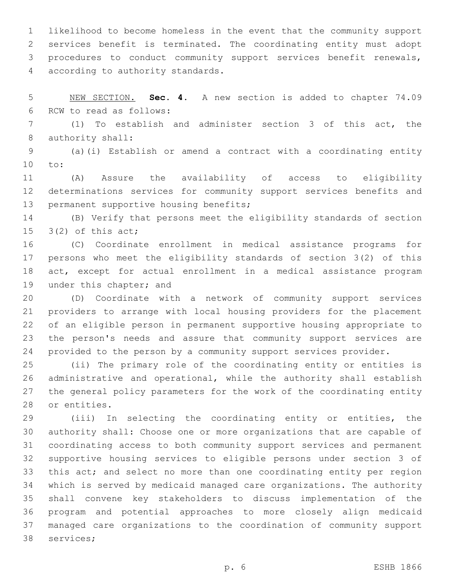likelihood to become homeless in the event that the community support services benefit is terminated. The coordinating entity must adopt procedures to conduct community support services benefit renewals, 4 according to authority standards.

 NEW SECTION. **Sec. 4.** A new section is added to chapter 74.09 6 RCW to read as follows:

 (1) To establish and administer section 3 of this act, the 8 authority shall:

 (a)(i) Establish or amend a contract with a coordinating entity 10 to:

 (A) Assure the availability of access to eligibility determinations services for community support services benefits and 13 permanent supportive housing benefits;

 (B) Verify that persons meet the eligibility standards of section  $3(2)$  of this act;

 (C) Coordinate enrollment in medical assistance programs for persons who meet the eligibility standards of section 3(2) of this act, except for actual enrollment in a medical assistance program 19 under this chapter; and

 (D) Coordinate with a network of community support services providers to arrange with local housing providers for the placement of an eligible person in permanent supportive housing appropriate to the person's needs and assure that community support services are provided to the person by a community support services provider.

 (ii) The primary role of the coordinating entity or entities is administrative and operational, while the authority shall establish the general policy parameters for the work of the coordinating entity 28 or entities.

 (iii) In selecting the coordinating entity or entities, the authority shall: Choose one or more organizations that are capable of coordinating access to both community support services and permanent supportive housing services to eligible persons under section 3 of this act; and select no more than one coordinating entity per region which is served by medicaid managed care organizations. The authority shall convene key stakeholders to discuss implementation of the program and potential approaches to more closely align medicaid managed care organizations to the coordination of community support 38 services;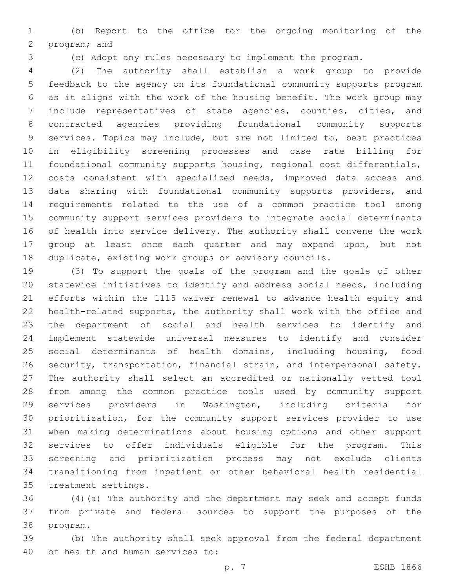(b) Report to the office for the ongoing monitoring of the 2 program; and

(c) Adopt any rules necessary to implement the program.

 (2) The authority shall establish a work group to provide feedback to the agency on its foundational community supports program as it aligns with the work of the housing benefit. The work group may include representatives of state agencies, counties, cities, and contracted agencies providing foundational community supports services. Topics may include, but are not limited to, best practices in eligibility screening processes and case rate billing for foundational community supports housing, regional cost differentials, costs consistent with specialized needs, improved data access and data sharing with foundational community supports providers, and requirements related to the use of a common practice tool among community support services providers to integrate social determinants of health into service delivery. The authority shall convene the work group at least once each quarter and may expand upon, but not duplicate, existing work groups or advisory councils.

 (3) To support the goals of the program and the goals of other statewide initiatives to identify and address social needs, including efforts within the 1115 waiver renewal to advance health equity and health-related supports, the authority shall work with the office and the department of social and health services to identify and implement statewide universal measures to identify and consider social determinants of health domains, including housing, food security, transportation, financial strain, and interpersonal safety. The authority shall select an accredited or nationally vetted tool from among the common practice tools used by community support services providers in Washington, including criteria for prioritization, for the community support services provider to use when making determinations about housing options and other support services to offer individuals eligible for the program. This screening and prioritization process may not exclude clients transitioning from inpatient or other behavioral health residential 35 treatment settings.

 (4)(a) The authority and the department may seek and accept funds from private and federal sources to support the purposes of the 38 program.

 (b) The authority shall seek approval from the federal department 40 of health and human services to: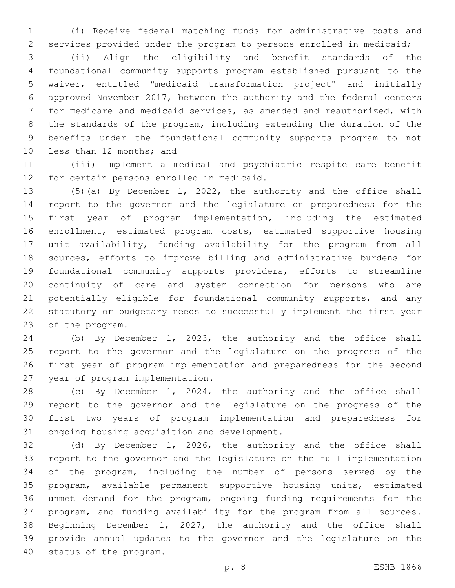(i) Receive federal matching funds for administrative costs and services provided under the program to persons enrolled in medicaid;

 (ii) Align the eligibility and benefit standards of the foundational community supports program established pursuant to the waiver, entitled "medicaid transformation project" and initially approved November 2017, between the authority and the federal centers for medicare and medicaid services, as amended and reauthorized, with the standards of the program, including extending the duration of the benefits under the foundational community supports program to not 10 less than 12 months; and

 (iii) Implement a medical and psychiatric respite care benefit 12 for certain persons enrolled in medicaid.

 (5)(a) By December 1, 2022, the authority and the office shall report to the governor and the legislature on preparedness for the first year of program implementation, including the estimated enrollment, estimated program costs, estimated supportive housing unit availability, funding availability for the program from all sources, efforts to improve billing and administrative burdens for foundational community supports providers, efforts to streamline continuity of care and system connection for persons who are 21 potentially eligible for foundational community supports, and any statutory or budgetary needs to successfully implement the first year 23 of the program.

 (b) By December 1, 2023, the authority and the office shall report to the governor and the legislature on the progress of the first year of program implementation and preparedness for the second 27 year of program implementation.

 (c) By December 1, 2024, the authority and the office shall report to the governor and the legislature on the progress of the first two years of program implementation and preparedness for 31 ongoing housing acquisition and development.

 (d) By December 1, 2026, the authority and the office shall report to the governor and the legislature on the full implementation of the program, including the number of persons served by the program, available permanent supportive housing units, estimated unmet demand for the program, ongoing funding requirements for the program, and funding availability for the program from all sources. Beginning December 1, 2027, the authority and the office shall provide annual updates to the governor and the legislature on the 40 status of the program.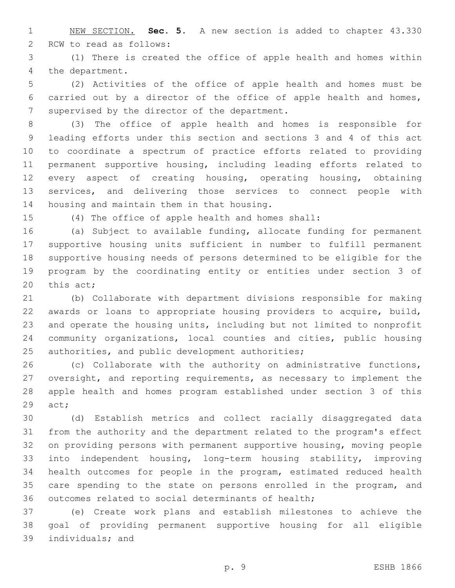NEW SECTION. **Sec. 5.** A new section is added to chapter 43.330 2 RCW to read as follows:

 (1) There is created the office of apple health and homes within 4 the department.

 (2) Activities of the office of apple health and homes must be carried out by a director of the office of apple health and homes, 7 supervised by the director of the department.

 (3) The office of apple health and homes is responsible for leading efforts under this section and sections 3 and 4 of this act to coordinate a spectrum of practice efforts related to providing permanent supportive housing, including leading efforts related to every aspect of creating housing, operating housing, obtaining services, and delivering those services to connect people with 14 housing and maintain them in that housing.

(4) The office of apple health and homes shall:

 (a) Subject to available funding, allocate funding for permanent supportive housing units sufficient in number to fulfill permanent supportive housing needs of persons determined to be eligible for the program by the coordinating entity or entities under section 3 of 20 this  $act;$ 

 (b) Collaborate with department divisions responsible for making awards or loans to appropriate housing providers to acquire, build, and operate the housing units, including but not limited to nonprofit community organizations, local counties and cities, public housing 25 authorities, and public development authorities;

 (c) Collaborate with the authority on administrative functions, oversight, and reporting requirements, as necessary to implement the apple health and homes program established under section 3 of this 29 act;

 (d) Establish metrics and collect racially disaggregated data from the authority and the department related to the program's effect on providing persons with permanent supportive housing, moving people into independent housing, long-term housing stability, improving health outcomes for people in the program, estimated reduced health 35 care spending to the state on persons enrolled in the program, and outcomes related to social determinants of health;

 (e) Create work plans and establish milestones to achieve the goal of providing permanent supportive housing for all eligible 39 individuals; and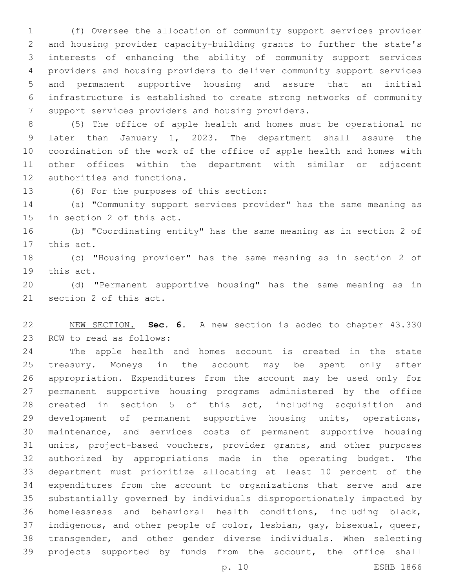(f) Oversee the allocation of community support services provider and housing provider capacity-building grants to further the state's interests of enhancing the ability of community support services providers and housing providers to deliver community support services and permanent supportive housing and assure that an initial infrastructure is established to create strong networks of community 7 support services providers and housing providers.

 (5) The office of apple health and homes must be operational no later than January 1, 2023. The department shall assure the coordination of the work of the office of apple health and homes with other offices within the department with similar or adjacent 12 authorities and functions.

13 (6) For the purposes of this section:

 (a) "Community support services provider" has the same meaning as 15 in section 2 of this act.

 (b) "Coordinating entity" has the same meaning as in section 2 of 17 this act.

 (c) "Housing provider" has the same meaning as in section 2 of 19 this act.

 (d) "Permanent supportive housing" has the same meaning as in 21 section 2 of this act.

 NEW SECTION. **Sec. 6.** A new section is added to chapter 43.330 23 RCW to read as follows:

 The apple health and homes account is created in the state treasury. Moneys in the account may be spent only after appropriation. Expenditures from the account may be used only for permanent supportive housing programs administered by the office created in section 5 of this act, including acquisition and development of permanent supportive housing units, operations, maintenance, and services costs of permanent supportive housing units, project-based vouchers, provider grants, and other purposes authorized by appropriations made in the operating budget. The department must prioritize allocating at least 10 percent of the expenditures from the account to organizations that serve and are substantially governed by individuals disproportionately impacted by homelessness and behavioral health conditions, including black, indigenous, and other people of color, lesbian, gay, bisexual, queer, transgender, and other gender diverse individuals. When selecting projects supported by funds from the account, the office shall

p. 10 ESHB 1866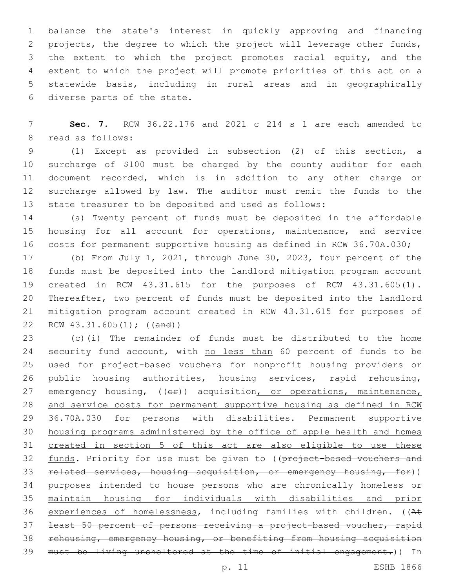balance the state's interest in quickly approving and financing projects, the degree to which the project will leverage other funds, the extent to which the project promotes racial equity, and the extent to which the project will promote priorities of this act on a statewide basis, including in rural areas and in geographically 6 diverse parts of the state.

 **Sec. 7.** RCW 36.22.176 and 2021 c 214 s 1 are each amended to 8 read as follows:

 (1) Except as provided in subsection (2) of this section, a surcharge of \$100 must be charged by the county auditor for each document recorded, which is in addition to any other charge or surcharge allowed by law. The auditor must remit the funds to the state treasurer to be deposited and used as follows:

 (a) Twenty percent of funds must be deposited in the affordable housing for all account for operations, maintenance, and service costs for permanent supportive housing as defined in RCW 36.70A.030;

 (b) From July 1, 2021, through June 30, 2023, four percent of the funds must be deposited into the landlord mitigation program account created in RCW 43.31.615 for the purposes of RCW 43.31.605(1). Thereafter, two percent of funds must be deposited into the landlord mitigation program account created in RCW 43.31.615 for purposes of RCW 43.31.605(1); ((and))

23 (c) $(i)$  The remainder of funds must be distributed to the home 24 security fund account, with no less than 60 percent of funds to be used for project-based vouchers for nonprofit housing providers or public housing authorities, housing services, rapid rehousing, 27 emergency housing, ((or)) acquisition, or operations, maintenance, and service costs for permanent supportive housing as defined in RCW 36.70A.030 for persons with disabilities. Permanent supportive housing programs administered by the office of apple health and homes created in section 5 of this act are also eligible to use these 32 funds. Priority for use must be given to ((project-based vouchers and related services, housing acquisition, or emergency housing, for)) 34 purposes intended to house persons who are chronically homeless or maintain housing for individuals with disabilities and prior experiences of homelessness, including families with children. ((At least 50 percent of persons receiving a project-based voucher, rapid rehousing, emergency housing, or benefiting from housing acquisition must be living unsheltered at the time of initial engagement.)) In

p. 11 ESHB 1866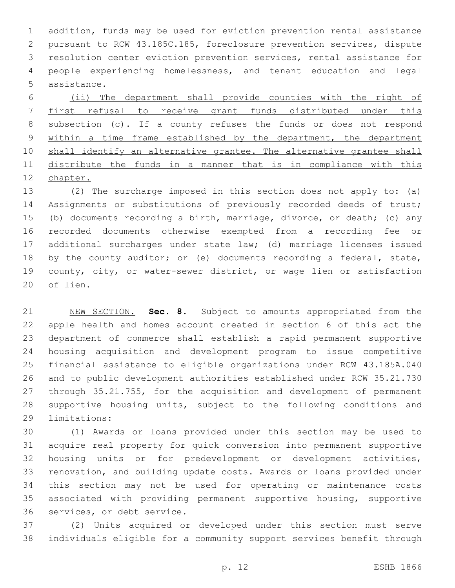addition, funds may be used for eviction prevention rental assistance pursuant to RCW 43.185C.185, foreclosure prevention services, dispute resolution center eviction prevention services, rental assistance for people experiencing homelessness, and tenant education and legal 5 assistance.

 (ii) The department shall provide counties with the right of first refusal to receive grant funds distributed under this subsection (c). If a county refuses the funds or does not respond 9 within a time frame established by the department, the department 10 shall identify an alternative grantee. The alternative grantee shall distribute the funds in a manner that is in compliance with this chapter.

 (2) The surcharge imposed in this section does not apply to: (a) Assignments or substitutions of previously recorded deeds of trust; (b) documents recording a birth, marriage, divorce, or death; (c) any recorded documents otherwise exempted from a recording fee or additional surcharges under state law; (d) marriage licenses issued 18 by the county auditor; or (e) documents recording a federal, state, county, city, or water-sewer district, or wage lien or satisfaction 20 of lien.

 NEW SECTION. **Sec. 8.** Subject to amounts appropriated from the apple health and homes account created in section 6 of this act the department of commerce shall establish a rapid permanent supportive housing acquisition and development program to issue competitive financial assistance to eligible organizations under RCW 43.185A.040 and to public development authorities established under RCW 35.21.730 through 35.21.755, for the acquisition and development of permanent supportive housing units, subject to the following conditions and limitations:

 (1) Awards or loans provided under this section may be used to acquire real property for quick conversion into permanent supportive housing units or for predevelopment or development activities, renovation, and building update costs. Awards or loans provided under this section may not be used for operating or maintenance costs associated with providing permanent supportive housing, supportive 36 services, or debt service.

 (2) Units acquired or developed under this section must serve individuals eligible for a community support services benefit through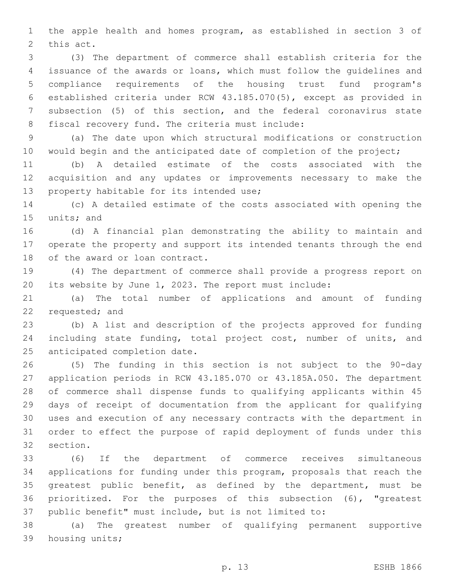the apple health and homes program, as established in section 3 of 2 this act.

 (3) The department of commerce shall establish criteria for the issuance of the awards or loans, which must follow the guidelines and compliance requirements of the housing trust fund program's established criteria under RCW 43.185.070(5), except as provided in subsection (5) of this section, and the federal coronavirus state 8 fiscal recovery fund. The criteria must include:

 (a) The date upon which structural modifications or construction 10 would begin and the anticipated date of completion of the project;

 (b) A detailed estimate of the costs associated with the acquisition and any updates or improvements necessary to make the 13 property habitable for its intended use;

 (c) A detailed estimate of the costs associated with opening the 15 units; and

 (d) A financial plan demonstrating the ability to maintain and operate the property and support its intended tenants through the end 18 of the award or loan contract.

 (4) The department of commerce shall provide a progress report on its website by June 1, 2023. The report must include:

 (a) The total number of applications and amount of funding 22 requested; and

 (b) A list and description of the projects approved for funding including state funding, total project cost, number of units, and 25 anticipated completion date.

 (5) The funding in this section is not subject to the 90-day application periods in RCW 43.185.070 or 43.185A.050. The department of commerce shall dispense funds to qualifying applicants within 45 days of receipt of documentation from the applicant for qualifying uses and execution of any necessary contracts with the department in order to effect the purpose of rapid deployment of funds under this 32 section.

 (6) If the department of commerce receives simultaneous applications for funding under this program, proposals that reach the greatest public benefit, as defined by the department, must be prioritized. For the purposes of this subsection (6), "greatest public benefit" must include, but is not limited to:

 (a) The greatest number of qualifying permanent supportive 39 housing units;